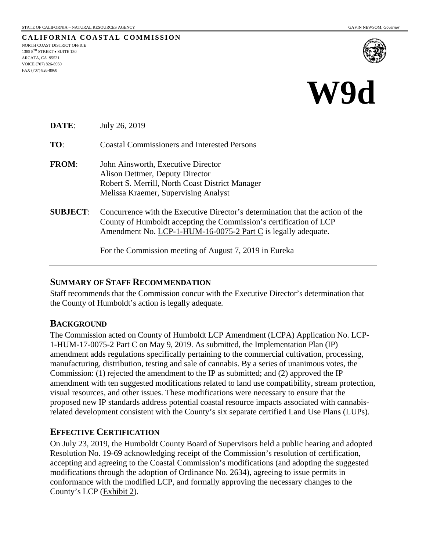**CALIFORNIA COASTAL COMMISSION** NORTH COAST DISTRICT OFFICE 1385 8TH STREET • SUITE 130 ARCATA, CA 95521 VOICE (707) 826-8950 FAX (707) 826-8960



# **W9d**

**DATE**: July 26, 2019

**TO**: Coastal Commissioners and Interested Persons

- **FROM**: John Ainsworth, Executive Director Alison Dettmer, Deputy Director Robert S. Merrill, North Coast District Manager Melissa Kraemer, Supervising Analyst
- **SUBJECT**: Concurrence with the Executive Director's determination that the action of the County of Humboldt accepting the Commission's certification of LCP Amendment No. LCP-1-HUM-16-0075-2 Part C is legally adequate.

For the Commission meeting of August 7, 2019 in Eureka

### **SUMMARY OF STAFF RECOMMENDATION**

Staff recommends that the Commission concur with the Executive Director's determination that the County of Humboldt's action is legally adequate.

### **BACKGROUND**

The Commission acted on County of Humboldt LCP Amendment (LCPA) Application No. LCP-1-HUM-17-0075-2 Part C on May 9, 2019. As submitted, the Implementation Plan (IP) amendment adds regulations specifically pertaining to the commercial cultivation, processing, manufacturing, distribution, testing and sale of cannabis. By a series of unanimous votes, the Commission: (1) rejected the amendment to the IP as submitted; and (2) approved the IP amendment with ten suggested modifications related to land use compatibility, stream protection, visual resources, and other issues. These modifications were necessary to ensure that the proposed new IP standards address potential coastal resource impacts associated with cannabisrelated development consistent with the County's six separate certified Land Use Plans (LUPs).

## **EFFECTIVE CERTIFICATION**

On July 23, 2019, the Humboldt County Board of Supervisors held a public hearing and adopted Resolution No. 19-69 acknowledging receipt of the Commission's resolution of certification, accepting and agreeing to the Coastal Commission's modifications (and adopting the suggested modifications through the adoption of Ordinance No. 2634), agreeing to issue permits in conformance with the modified LCP, and formally approving the necessary changes to the County's LCP (Exhibit 2).